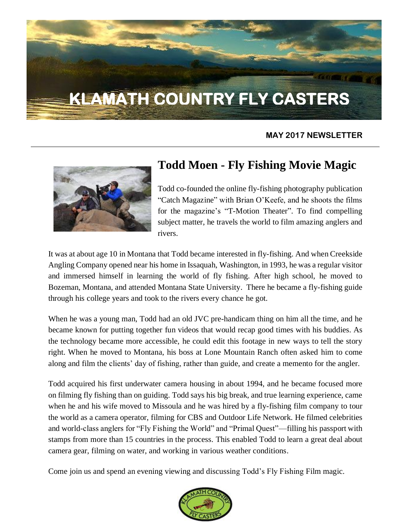# **KLAMATH COUNTRY FLY CASTERS**

#### **MAY 2017 NEWSLETTER**



### **Todd Moen - Fly Fishing Movie Magic**

Todd co-founded the online fly-fishing photography publication "Catch Magazine" with Brian O'Keefe, and he shoots the films for the magazine's "T-Motion Theater". To find compelling subject matter, he travels the world to film amazing anglers and rivers.

It was at about age 10 in Montana that Todd became interested in fly-fishing. And when Creekside Angling Company opened near his home in Issaquah, Washington, in 1993, he was a regular visitor and immersed himself in learning the world of fly fishing. After high school, he moved to Bozeman, Montana, and attended Montana State University. There he became a fly-fishing guide through his college years and took to the rivers every chance he got.

When he was a young man, Todd had an old JVC pre-handicam thing on him all the time, and he became known for putting together fun videos that would recap good times with his buddies. As the technology became more accessible, he could edit this footage in new ways to tell the story right. When he moved to Montana, his boss at Lone Mountain Ranch often asked him to come along and film the clients' day of fishing, rather than guide, and create a memento for the angler.

Todd acquired his first underwater camera housing in about 1994, and he became focused more on filming fly fishing than on guiding. Todd says his big break, and true learning experience, came when he and his wife moved to Missoula and he was hired by a fly-fishing film company to tour the world as a camera operator, filming for CBS and Outdoor Life Network. He filmed celebrities and world-class anglers for "Fly Fishing the World" and "Primal Quest"—filling his passport with stamps from more than 15 countries in the process. This enabled Todd to learn a great deal about camera gear, filming on water, and working in various weather conditions.

Come join us and spend an evening viewing and discussing Todd's Fly Fishing Film magic.

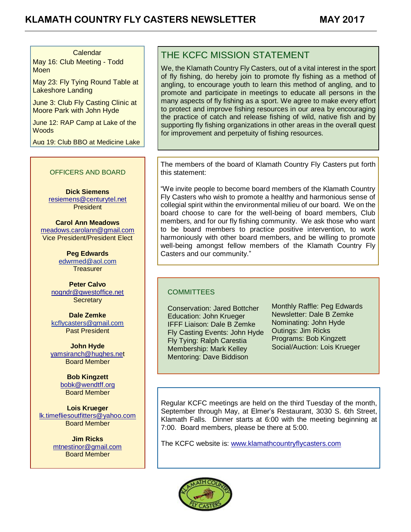#### Calendar

May 16: Club Meeting - Todd **Moen** 

May 23: Fly Tying Round Table at Lakeshore Landing

June 3: Club Fly Casting Clinic at Moore Park with John Hyde

June 12: RAP Camp at Lake of the **Woods** 

Aug 19: Club BBQ at Medicine Lake

#### OFFICERS AND BOARD

**Dick Siemens** [resiemens@centurytel.net](mailto:resiemens@centurytel.net) **President** 

**Carol Ann Meadows** [meadows.carolann@gmail.com](http://meadows.carolann@gmail.com/) Vice President/President Elect

> **Peg Edwards** [edwrmed@aol.com](mailto:edwrmed@aol.com) **Treasurer**

**Peter Calvo** [nogndr@qwestoffice.net](mailto:nogndr@qwestoffice.net) **Secretary** 

**Dale Zemke** [kcflycasters@gmail.com](mailto:kcflycasters@gmail.com) Past President

**John Hyde** [yamsiranch@hughes.net](mailto:yamsiranch@hughes.ne) Board Member

> **Bob Kingzett** [bobk@wendtff.org](mailto:bobk@jeld-wen.com) Board Member

**Lois Krueger** [lk.timefliesoutfitters@yahoo.com](mailto:lk.timefliesoutfitters@yahoo.com) Board Member

> **Jim Ricks** [mtnestinor@gmail.com](mailto:mtnestinor@gmail.com) Board Member

> > $\overline{a}$

#### THE KCFC MISSION STATEMENT

We, the Klamath Country Fly Casters, out of a vital interest in the sport of fly fishing, do hereby join to promote fly fishing as a method of angling, to encourage youth to learn this method of angling, and to promote and participate in meetings to educate all persons in the many aspects of fly fishing as a sport. We agree to make every effort to protect and improve fishing resources in our area by encouraging the practice of catch and release fishing of wild, native fish and by supporting fly fishing organizations in other areas in the overall quest for improvement and perpetuity of fishing resources.

The members of the board of Klamath Country Fly Casters put forth this statement:

"We invite people to become board members of the Klamath Country Fly Casters who wish to promote a healthy and harmonious sense of collegial spirit within the environmental milieu of our board. We on the board choose to care for the well-being of board members, Club members, and for our fly fishing community. We ask those who want to be board members to practice positive intervention, to work harmoniously with other board members, and be willing to promote well-being amongst fellow members of the Klamath Country Fly Casters and our community."

#### **COMMITTEES**

Conservation: Jared Bottcher Education: John Krueger IFFF Liaison: Dale B Zemke Fly Casting Events: John Hyde Fly Tying: Ralph Carestia Membership: Mark Kelley Mentoring: Dave Biddison

Monthly Raffle: Peg Edwards Newsletter: Dale B Zemke Nominating: John Hyde Outings: Jim Ricks Programs: Bob Kingzett Social/Auction: Lois Krueger

Regular KCFC meetings are held on the third Tuesday of the month, September through May, at Elmer's Restaurant, 3030 S. 6th Street, Klamath Falls. Dinner starts at 6:00 with the meeting beginning at 7:00. Board members, please be there at 5:00.

The KCFC website is: [www.klamathcountryflycasters.com](http://www.klamathcountryflycasters.com/)

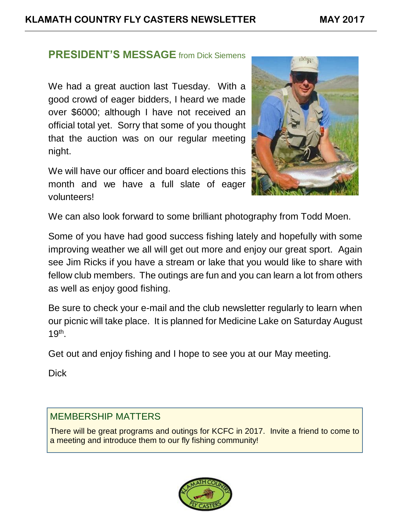#### **PRESIDENT'S MESSAGE** from Dick Siemens

We had a great auction last Tuesday. With a good crowd of eager bidders, I heard we made over \$6000; although I have not received an official total yet. Sorry that some of you thought that the auction was on our regular meeting night.

We will have our officer and board elections this month and we have a full slate of eager volunteers!



We can also look forward to some brilliant photography from Todd Moen.

Some of you have had good success fishing lately and hopefully with some improving weather we all will get out more and enjoy our great sport. Again see Jim Ricks if you have a stream or lake that you would like to share with fellow club members. The outings are fun and you can learn a lot from others as well as enjoy good fishing.

Be sure to check your e-mail and the club newsletter regularly to learn when our picnic will take place. It is planned for Medicine Lake on Saturday August 19th .

Get out and enjoy fishing and I hope to see you at our May meeting.

**Dick** 

#### MEMBERSHIP MATTERS

There will be great programs and outings for KCFC in 2017. Invite a friend to come to a meeting and introduce them to our fly fishing community!

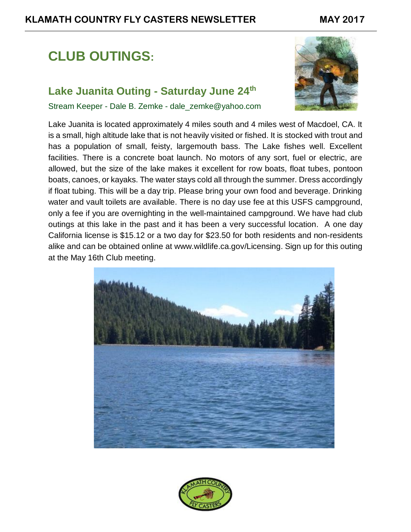## **CLUB OUTINGS:**

#### **Lake Juanita Outing - Saturday June 24th**

Stream Keeper - Dale B. Zemke - dale\_zemke@yahoo.com



Lake Juanita is located approximately 4 miles south and 4 miles west of Macdoel, CA. It is a small, high altitude lake that is not heavily visited or fished. It is stocked with trout and has a population of small, feisty, largemouth bass. The Lake fishes well. Excellent facilities. There is a concrete boat launch. No motors of any sort, fuel or electric, are allowed, but the size of the lake makes it excellent for row boats, float tubes, pontoon boats, canoes, or kayaks. The water stays cold all through the summer. Dress accordingly if float tubing. This will be a day trip. Please bring your own food and beverage. Drinking water and vault toilets are available. There is no day use fee at this USFS campground, only a fee if you are overnighting in the well-maintained campground. We have had club outings at this lake in the past and it has been a very successful location. A one day California license is \$15.12 or a two day for \$23.50 for both residents and non-residents alike and can be obtained online at [www.wildlife.ca.gov/Licensing.](http://www.wildlife.ca.gov/Licensing) Sign up for this outing at the May 16th Club meeting.



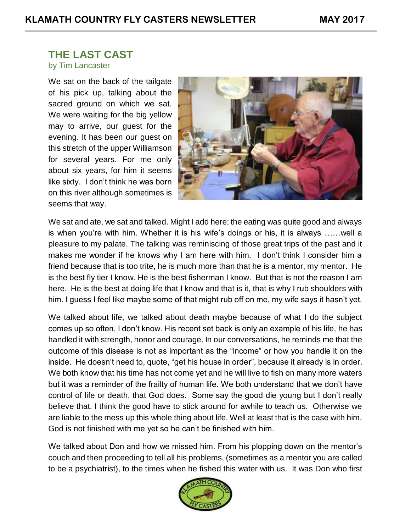#### **THE LAST CAST**

#### by Tim Lancaster

We sat on the back of the tailgate of his pick up, talking about the sacred ground on which we sat. We were waiting for the big yellow may to arrive, our guest for the evening. It has been our guest on this stretch of the upper Williamson for several years. For me only about six years, for him it seems like sixty. I don't think he was born on this river although sometimes is seems that way.



We sat and ate, we sat and talked. Might I add here; the eating was quite good and always is when you're with him. Whether it is his wife's doings or his, it is always ……well a pleasure to my palate. The talking was reminiscing of those great trips of the past and it makes me wonder if he knows why I am here with him. I don't think I consider him a friend because that is too trite, he is much more than that he is a mentor, my mentor. He is the best fly tier I know. He is the best fisherman I know. But that is not the reason I am here. He is the best at doing life that I know and that is it, that is why I rub shoulders with him. I guess I feel like maybe some of that might rub off on me, my wife says it hasn't yet.

We talked about life, we talked about death maybe because of what I do the subject comes up so often, I don't know. His recent set back is only an example of his life, he has handled it with strength, honor and courage. In our conversations, he reminds me that the outcome of this disease is not as important as the "income" or how you handle it on the inside. He doesn't need to, quote, "get his house in order", because it already is in order. We both know that his time has not come yet and he will live to fish on many more waters but it was a reminder of the frailty of human life. We both understand that we don't have control of life or death, that God does. Some say the good die young but I don't really believe that. I think the good have to stick around for awhile to teach us. Otherwise we are liable to the mess up this whole thing about life. Well at least that is the case with him, God is not finished with me yet so he can't be finished with him.

We talked about Don and how we missed him. From his plopping down on the mentor's couch and then proceeding to tell all his problems, (sometimes as a mentor you are called to be a psychiatrist), to the times when he fished this water with us. It was Don who first

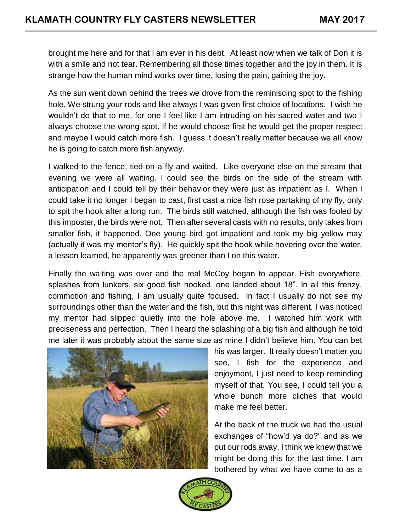brought me here and for that I am ever in his debt. At least now when we talk of Don it is with a smile and not tear. Remembering all those times together and the joy in them. It is strange how the human mind works over time, losing the pain, gaining the joy.

As the sun went down behind the trees we drove from the reminiscing spot to the fishing hole. We strung your rods and like always I was given first choice of locations. I wish he wouldn't do that to me, for one I feel like I am intruding on his sacred water and two I always choose the wrong spot. If he would choose first he would get the proper respect and maybe I would catch more fish. I guess it doesn't really matter because we all know he is going to catch more fish anyway.

I walked to the fence, tied on a fly and waited. Like everyone else on the stream that evening we were all waiting. I could see the birds on the side of the stream with anticipation and I could tell by their behavior they were just as impatient as I. When I could take it no longer I began to cast, first cast a nice fish rose partaking of my fly, only to spit the hook after a long run. The birds still watched, although the fish was fooled by this imposter, the birds were not. Then after several casts with no results, only takes from smaller fish, it happened. One young bird got impatient and took my big yellow may (actually it was my mentor's fly). He quickly spit the hook while hovering over the water, a lesson learned, he apparently was greener than I on this water.

Finally the waiting was over and the real McCoy began to appear. Fish everywhere, splashes from lunkers, six good fish hooked, one landed about 18". In all this frenzy, commotion and fishing, I am usually quite focused. In fact I usually do not see my surroundings other than the water and the fish, but this night was different. I was noticed my mentor had slipped quietly into the hole above me. I watched him work with preciseness and perfection. Then I heard the splashing of a big fish and although he told me later it was probably about the same size as mine I didn't believe him. You can bet



his was larger. It really doesn't matter you see, I fish for the experience and enjoyment, I just need to keep reminding myself of that. You see, I could tell you a whole bunch more cliches that would make me feel better.

At the back of the truck we had the usual exchanges of "how'd ya do?" and as we put our rods away, I think we knew that we might be doing this for the last time. I am bothered by what we have come to as a

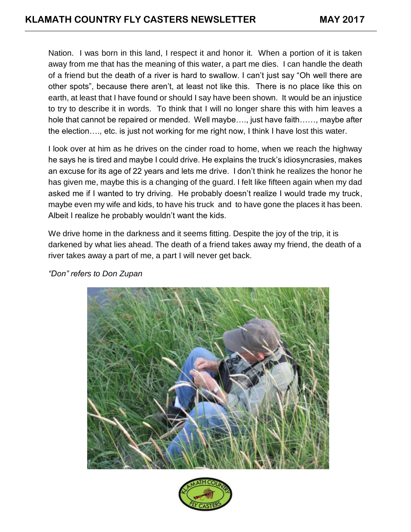Nation. I was born in this land, I respect it and honor it. When a portion of it is taken away from me that has the meaning of this water, a part me dies. I can handle the death of a friend but the death of a river is hard to swallow. I can't just say "Oh well there are other spots", because there aren't, at least not like this. There is no place like this on earth, at least that I have found or should I say have been shown. It would be an injustice to try to describe it in words. To think that I will no longer share this with him leaves a hole that cannot be repaired or mended. Well maybe…., just have faith……, maybe after the election…., etc. is just not working for me right now, I think I have lost this water.

I look over at him as he drives on the cinder road to home, when we reach the highway he says he is tired and maybe I could drive. He explains the truck's idiosyncrasies, makes an excuse for its age of 22 years and lets me drive. I don't think he realizes the honor he has given me, maybe this is a changing of the guard. I felt like fifteen again when my dad asked me if I wanted to try driving. He probably doesn't realize I would trade my truck, maybe even my wife and kids, to have his truck and to have gone the places it has been. Albeit I realize he probably wouldn't want the kids.

We drive home in the darkness and it seems fitting. Despite the joy of the trip, it is darkened by what lies ahead. The death of a friend takes away my friend, the death of a river takes away a part of me, a part I will never get back.



*"Don" refers to Don Zupan*

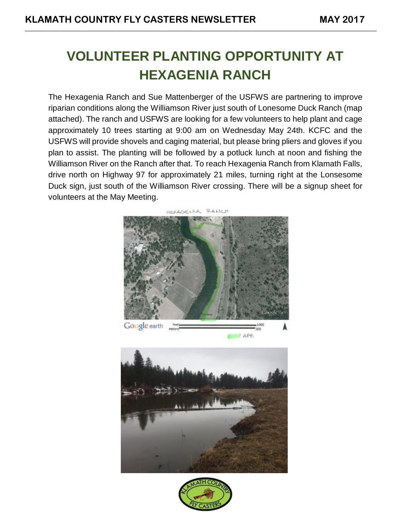## **VOLUNTEER PLANTING OPPORTUNITY AT HEXAGENIA RANCH**

The Hexagenia Ranch and Sue Mattenberger of the USFWS are partnering to improve riparian conditions along the Williamson River just south of Lonesome Duck Ranch (map attached). The ranch and USFWS are looking for a few volunteers to help plant and cage approximately 10 trees starting at 9:00 am on Wednesday May 24th. KCFC and the USFWS will provide shovels and caging material, but please bring pliers and gloves if you plan to assist. The planting will be followed by a potluck lunch at noon and fishing the Williamson River on the Ranch after that. To reach Hexagenia Ranch from Klamath Falls, drive north on Highway 97 for approximately 21 miles, turning right at the Lonsesome Duck sign, just south of the Williamson River crossing. There will be a signup sheet for volunteers at the May Meeting.





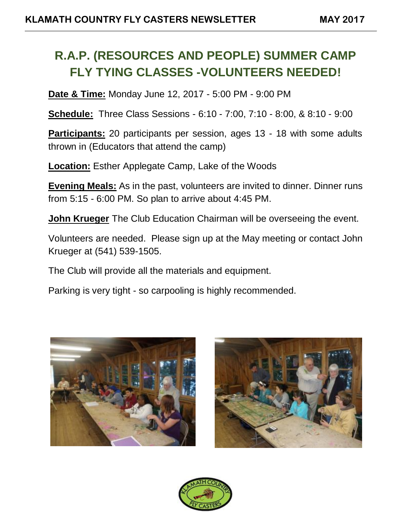## **R.A.P. (RESOURCES AND PEOPLE) SUMMER CAMP FLY TYING CLASSES -VOLUNTEERS NEEDED!**

**Date & Time:** Monday June 12, 2017 - 5:00 PM - 9:00 PM

**Schedule:** Three Class Sessions - 6:10 - 7:00, 7:10 - 8:00, & 8:10 - 9:00

**Participants:** 20 participants per session, ages 13 - 18 with some adults thrown in (Educators that attend the camp)

**Location:** Esther Applegate Camp, Lake of the Woods

**Evening Meals:** As in the past, volunteers are invited to dinner. Dinner runs from 5:15 - 6:00 PM. So plan to arrive about 4:45 PM.

**John Krueger** The Club Education Chairman will be overseeing the event.

Volunteers are needed. Please sign up at the May meeting or contact John Krueger at (541) 539-1505.

The Club will provide all the materials and equipment.

Parking is very tight - so carpooling is highly recommended.





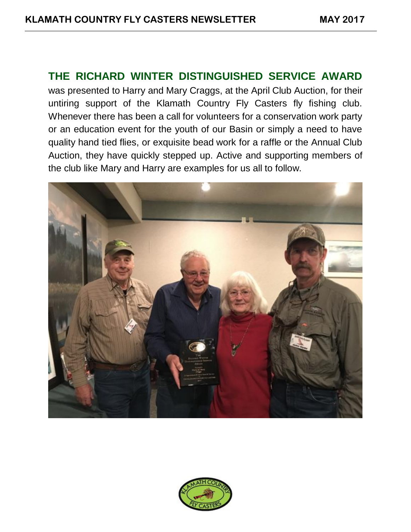#### THE RICHARD WINTER DISTINGUISHED SERVICE AWARD

was presented to Harry and Mary Craggs, at the April Club Auction, for their untiring support of the Klamath Country Fly Casters fly fishing club. Whenever there has been a call for volunteers for a conservation work party or an education event for the youth of our Basin or simply a need to have quality hand tied flies, or exquisite bead work for a raffle or the Annual Club Auction, they have quickly stepped up. Active and supporting members of the club like Mary and Harry are examples for us all to follow.



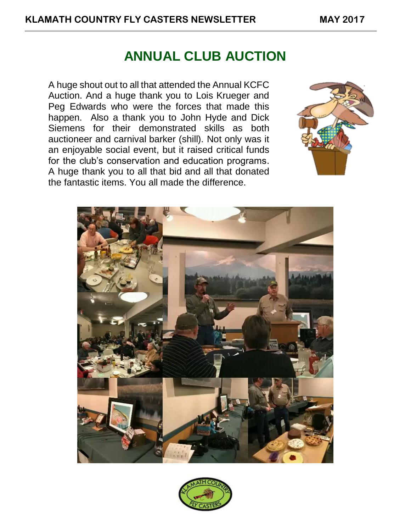## ANNUAL CLUB AUCTION

A huge shout out to all that attended the Annual KCFC Auction. And a huge thank you to Lois Krueger and Peg Edwards who were the forces that made this happen. Also a thank you to John Hyde and Dick Siemens for their demonstrated skills as both auctioneer and carnival barker (shill). Not only was it an enjoyable social event, but it raised critical funds for the club's conservation and education programs. A huge thank you to all that bid and all that donated the fantastic items. You all made the difference.





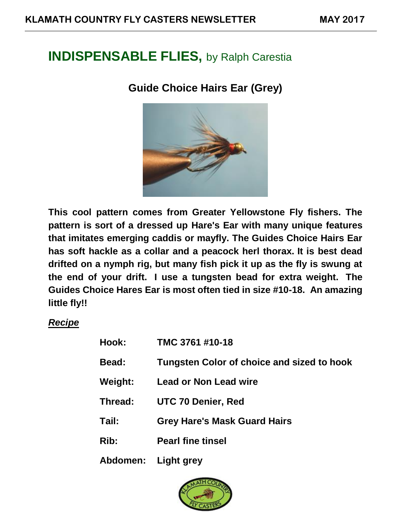## INDISPENSABLE FLIES, by Ralph Carestia

#### **Guide Choice Hairs Ear (Grey)**



**This cool pattern comes from Greater Yellowstone Fly fishers. The pattern is sort of a dressed up Hare's Ear with many unique features that imitates emerging caddis or mayfly. The Guides Choice Hairs Ear has soft hackle as a collar and a peacock herl thorax. It is best dead drifted on a nymph rig, but many fish pick it up as the fly is swung at the end of your drift. I use a tungsten bead for extra weight. The Guides Choice Hares Ear is most often tied in size #10-18. An amazing little fly!!**

#### *Recipe*

| Hook:               | TMC 3761 #10-18                            |
|---------------------|--------------------------------------------|
| Bead:               | Tungsten Color of choice and sized to hook |
| Weight:             | <b>Lead or Non Lead wire</b>               |
| Thread:             | <b>UTC 70 Denier, Red</b>                  |
| Tail:               | <b>Grey Hare's Mask Guard Hairs</b>        |
| Rib:                | <b>Pearl fine tinsel</b>                   |
| Abdomen: Light grey |                                            |

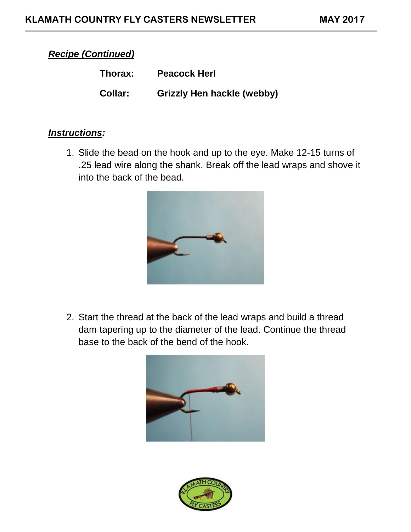#### *Recipe (Continued)*

| Thorax:        | <b>Peacock Herl</b>        |
|----------------|----------------------------|
| <b>Collar:</b> | Grizzly Hen hackle (webby) |

#### *Instructions:*

1. Slide the bead on the hook and up to the eye. Make 12-15 turns of .25 lead wire along the shank. Break off the lead wraps and shove it into the back of the bead.



2. Start the thread at the back of the lead wraps and build a thread dam tapering up to the diameter of the lead. Continue the thread base to the back of the bend of the hook.



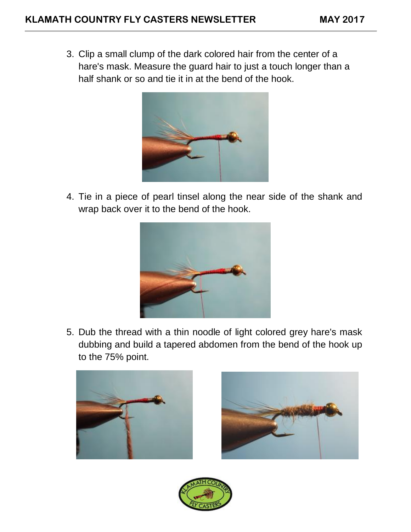3. Clip a small clump of the dark colored hair from the center of a hare's mask. Measure the guard hair to just a touch longer than a half shank or so and tie it in at the bend of the hook.



4. Tie in a piece of pearl tinsel along the near side of the shank and wrap back over it to the bend of the hook.



5. Dub the thread with a thin noodle of light colored grey hare's mask dubbing and build a tapered abdomen from the bend of the hook up to the 75% point.





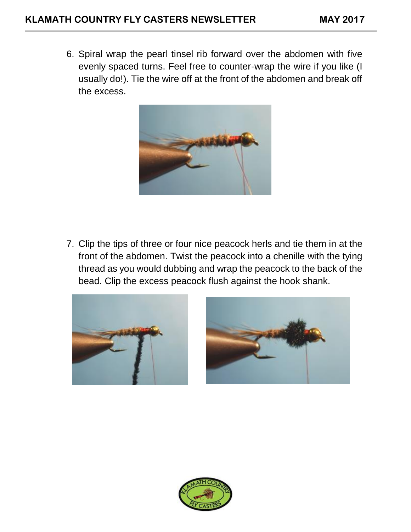6. Spiral wrap the pearl tinsel rib forward over the abdomen with five evenly spaced turns. Feel free to counter-wrap the wire if you like (I usually do!). Tie the wire off at the front of the abdomen and break off the excess.



7. Clip the tips of three or four nice peacock herls and tie them in at the front of the abdomen. Twist the peacock into a chenille with the tying thread as you would dubbing and wrap the peacock to the back of the bead. Clip the excess peacock flush against the hook shank.





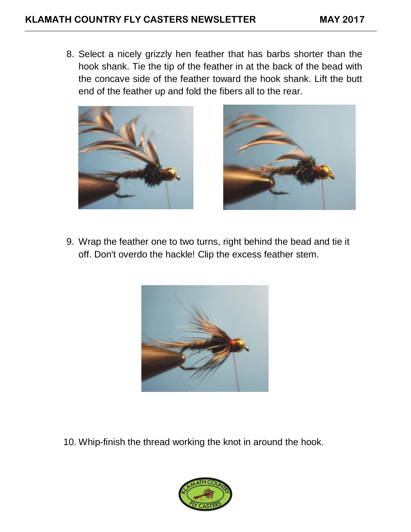8. Select a nicely grizzly hen feather that has barbs shorter than the hook shank. Tie the tip of the feather in at the back of the bead with the concave side of the feather toward the hook shank. Lift the butt end of the feather up and fold the fibers all to the rear.





9. Wrap the feather one to two turns, right behind the bead and tie it off. Don't overdo the hackle! Clip the excess feather stem.



10. Whip-finish the thread working the knot in around the hook.